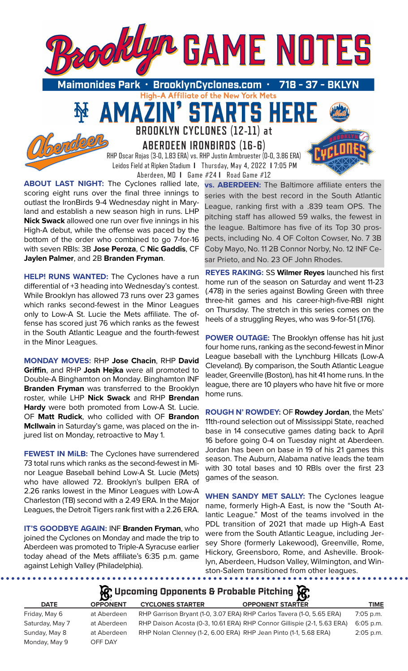

High-A Affiliate of the New York Mets

TARTS HE

· BrooklynCyclones.com Maimonides Park 718

51

**BROOKLYN CYCLONES (12-11) at ABERDEEN IRONBIRDS (16-6)**

RHP Oscar Rojas (3-0, 1.83 ERA) vs. RHP Justin Armbruester (0-0, 3.86 ERA) Leidos Field at Ripken Stadium **I** Thursday, May 4, 2022 **I** 7:05 PM Aberdeen, MD **I** Game #24 **I** Road Game #12

**ABOUT LAST NIGHT:** The Cyclones rallied late, scoring eight runs over the final three innings to outlast the IronBirds 9-4 Wednesday night in Maryland and establish a new season high in runs. LHP **Nick Swack** allowed one run over five innings in his High-A debut, while the offense was paced by the bottom of the order who combined to go 7-for-16 with seven RBIs: 3B **Jose Peroza**, C **Nic Gaddis**, CF **Jaylen Palmer**, and 2B **Branden Fryman**.

MA

**HELP! RUNS WANTED:** The Cyclones have a run differential of +3 heading into Wednesday's contest. While Brooklyn has allowed 73 runs over 23 games which ranks second-fewest in the Minor Leagues only to Low-A St. Lucie the Mets affiliate. The offense has scored just 76 which ranks as the fewest in the South Atlantic League and the fourth-fewest in the Minor Leagues.

**MONDAY MOVES:** RHP **Jose Chacin**, RHP **David Griffin**, and RHP **Josh Hejka** were all promoted to Double-A Binghamton on Monday. Binghamton INF **Branden Fryman** was transferred to the Brooklyn roster, while LHP **Nick Swack** and RHP **Brendan Hardy** were both promoted from Low-A St. Lucie. OF **Matt Rudick**, who collided with OF **Brandon McIlwain** in Saturday's game, was placed on the injured list on Monday, retroactive to May 1.

**FEWEST IN MiLB:** The Cyclones have surrendered 73 total runs which ranks as the second-fewest in Minor League Baseball behind Low-A St. Lucie (Mets) who have allowed 72. Brooklyn's bullpen ERA of 2.26 ranks lowest in the Minor Leagues with Low-A Charleston (TB) second with a 2.49 ERA. In the Major Leagues, the Detroit Tigers rank first with a 2.26 ERA.

**IT'S GOODBYE AGAIN:** INF **Branden Fryman**, who joined the Cyclones on Monday and made the trip to Aberdeen was promoted to Triple-A Syracuse earlier today ahead of the Mets affiliate's 6:35 p.m. game against Lehigh Valley (Philadelphia).

**vs. ABERDEEN:** The Baltimore affiliate enters the series with the best record in the South Atlantic League, ranking first with a .839 team OPS. The pitching staff has allowed 59 walks, the fewest in the league. Baltimore has five of its Top 30 prospects, including No. 4 OF Colton Cowser, No. 7 3B Coby Mayo, No. 11 2B Connor Norby, No. 12 INF Cesar Prieto, and No. 23 OF John Rhodes.

**REYES RAKING:** SS **Wilmer Reyes** launched his first home run of the season on Saturday and went 11-23 (.478) in the series against Bowling Green with three three-hit games and his career-high-five-RBI night on Thursday. The stretch in this series comes on the heels of a struggling Reyes, who was 9-for-51 (.176).

**POWER OUTAGE:** The Brooklyn offense has hit just four home runs, ranking as the second-fewest in Minor League baseball with the Lynchburg Hillcats (Low-A Cleveland). By comparison, the South Atlantic League leader, Greenville (Boston), has hit 41 home runs. In the league, there are 10 players who have hit five or more home runs.

**ROUGH N' ROWDEY:** OF **Rowdey Jordan**, the Mets' 11th-round selection out of Mississippi State, reached base in 14 consecutive games dating back to April 16 before going 0-4 on Tuesday night at Aberdeen. Jordan has been on base in 19 of his 21 games this season. The Auburn, Alabama native leads the team with 30 total bases and 10 RBIs over the first 23 games of the season.

**WHEN SANDY MET SALLY:** The Cyclones league name, formerly High-A East, is now the "South Atlantic League." Most of the teams involved in the PDL transition of 2021 that made up High-A East were from the South Atlantic League, including Jersey Shore (formerly Lakewood), Greenville, Rome, Hickory, Greensboro, Rome, and Asheville. Brooklyn, Aberdeen, Hudson Valley, Wilmington, and Winston-Salem transitioned from other leagues.

# **松** Upcoming Opponents & Probable Pitching **依**

| <b>DATE</b>     | <b>OPPONENT</b> | <b>CYCLONES STARTER</b>                                               | <b>OPPONENT STARTER</b>                                                 | TIME        |
|-----------------|-----------------|-----------------------------------------------------------------------|-------------------------------------------------------------------------|-------------|
| Friday, May 6   | at Aberdeen     | RHP Garrison Bryant (1-0, 3.07 ERA) RHP Carlos Tavera (1-0, 5.65 ERA) |                                                                         | $7:05$ p.m. |
| Saturday, May 7 | at Aberdeen     |                                                                       | RHP Daison Acosta (0-3, 10.61 ERA) RHP Connor Gillispie (2-1, 5.63 ERA) | $6:05$ p.m. |
| Sunday, May 8   | at Aberdeen     | RHP Nolan Clenney (1-2, 6.00 ERA) RHP Jean Pinto (1-1, 5.68 ERA)      |                                                                         | $2:05$ p.m. |
| Monday, May 9   | OFF DAY         |                                                                       |                                                                         |             |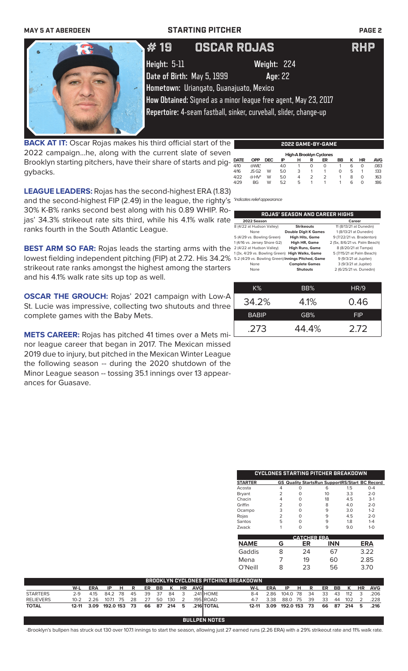### **MAY 5 AT ABERDEEN STARTING PITCHER PAGE 2**

# 19 OSCAR ROJAS RHP

**Height:** 5-11 **Weight:** 224 **Date of Birth:** May 5, 1999 **Age**: 22

**Hometown:** Uriangato, Guanajuato, Mexico

**How Obtained:** Signed as a minor league free agent, May 23, 2017

**Repertoire:** 4-seam fastball, sinker, curveball, slider, change-up

**BACK AT IT:** Oscar Rojas makes his third official start of the 2022 campaign...he, along with the current slate of sever Brooklyn starting pitchers, have their share of starts and piggybacks.

| е  | 2022 GAME-BY-GAME |                  |            |     |   |                |                                 |    |   |           |            |  |
|----|-------------------|------------------|------------|-----|---|----------------|---------------------------------|----|---|-----------|------------|--|
|    |                   |                  |            |     |   |                | <b>High-A Brooklyn Cyclones</b> |    |   |           |            |  |
|    | <b>DATE</b>       | <b>OPP</b>       | <b>DEC</b> | ΙP  | н | R              | ER                              | BB | ĸ | <b>HR</b> | <b>AVG</b> |  |
|    | 4/10              | @WIL*            |            | 4.0 |   | 0              | O                               |    | 6 | 0         | .083       |  |
|    | 4/16              | JS <sub>G2</sub> | W          | 5.0 | 3 |                |                                 | 0  | 5 |           | 133        |  |
|    | 4/22              | $@HV^*$          | W          | 5.0 | 4 | $\overline{2}$ | $\overline{2}$                  |    | 8 | O         | .163       |  |
|    | 4/29              | <b>BG</b>        | W          | 5.2 | 5 |                |                                 |    | 6 | 0         | .186       |  |
| ١١ |                   |                  |            |     |   |                |                                 |    |   |           |            |  |

**LEAGUE LEADERS:** Rojas has the second-highest ERA (1.83) and the second-highest FIP (2.49) in the league, the righty's *\*indicates relief appearance* 30% K-B% ranks second best along with his 0.89 WHIP. Rojas' 34.3% strikeout rate sits third, while his 4.1% walk rate ranks fourth in the South Atlantic League.

**BEST ARM SO FAR:** Rojas leads the starting arms with the lowest fielding independent pitching (FIP) at 2.72. His 34.2% strikeout rate ranks amongst the highest among the starters and his 4.1% walk rate sits up top as well.

**OSCAR THE GROUCH:** Rojas' 2021 campaign with Low-A St. Lucie was impressive, collecting two shutouts and three complete games with the Baby Mets.

**METS CAREER:** Rojas has pitched 41 times over a Mets minor league career that began in 2017. The Mexican missed 2019 due to injury, but pitched in the Mexican Winter League the following season -- during the 2020 shutdown of the Minor League season -- tossing 35.1 innings over 13 appearances for Guasave.

| ROJAS' SEASON AND CAREER HIGHS                     |                             |                               |  |  |  |
|----------------------------------------------------|-----------------------------|-------------------------------|--|--|--|
| 2022 Season                                        |                             | Career                        |  |  |  |
| 8 (4/22 at Hudson Valley)                          | <b>Strikeouts</b>           | 11 (8/13/21 at Dunedin)       |  |  |  |
| None                                               | <b>Double Digit K Games</b> | 1 (8/13/21 at Dunedin)        |  |  |  |
| 5 (4/29 vs. Bowling Green)                         | <b>High Hits, Game</b>      | 9 (7/22/21 vs. Bradenton)     |  |  |  |
| 1 (4/16 vs. Jersey Shore G2)                       | High HR, Game               | 2 (5x, 8/6/21 vs. Palm Beach) |  |  |  |
| 2 (4/22 at Hudson Valley)                          | <b>High Runs, Game</b>      | 8 (8/20/21 at Tampa)          |  |  |  |
| 1(3x, 4/29 vs. Bowling Green)                      | <b>High Walks, Game</b>     | 5 (7/15/21 at Palm Beach)     |  |  |  |
| 5.2 (4/29 vs. Bowling Green) Innings Pitched, Game |                             | 9 (9/3/21 at Jupiter)         |  |  |  |
| None                                               | <b>Complete Games</b>       | 3 (9/3/21 at Jupiter)         |  |  |  |
| None                                               | <b>Shutouts</b>             | 2 (6/25/21 vs. Dunedin)       |  |  |  |

| $K\%$        | BB%   | HR/9       |
|--------------|-------|------------|
| 34.2%        | 4.1%  | 0.46       |
| <b>BABIP</b> | GB%   | <b>FIP</b> |
| .273         | 44.4% | 2.72       |

|                |   | CYCLONES STARTING PITCHER BREAKDOWN |         |                                                       |
|----------------|---|-------------------------------------|---------|-------------------------------------------------------|
| <b>STARTER</b> |   |                                     |         | <b>GS Quality StartsRun SupportRS/Start BC Record</b> |
| Acosta         |   | 6                                   | $1.5\,$ | $0 - 4$                                               |
| Bryant         |   | 10                                  | 3.3     | $2 - 0$                                               |
| Chacin         |   | 18                                  | 4.5     | $3-1$                                                 |
| Griffin        | っ | 8                                   | 4.0     | $2 - 0$                                               |
| Ocampo         | 3 | 9                                   | 3.0     | $1 - 2$                                               |
| Rojas          | フ | q                                   | 45      | $2 - 0$                                               |
| Santos         | 5 | q                                   | 1.8     | $1 - 4$                                               |
| Zwack          |   | 9                                   | 9.0     | $1 - \Omega$                                          |

| <b>CATCHER ERA</b> |   |    |     |            |  |  |  |  |
|--------------------|---|----|-----|------------|--|--|--|--|
| <b>NAME</b>        | G | ER | INN | <b>ERA</b> |  |  |  |  |
| Gaddis             | 8 | 24 | 67  | 3.22       |  |  |  |  |
| Mena               |   | 19 | 60  | 2.85       |  |  |  |  |
| $O'$ Neill         | 8 | 23 | 56  | 3.70       |  |  |  |  |

|                  | <b>BROOKLYN CYCLONES PITCHING BREAKDOWN</b> |            |              |      |    |    |     |     |           |             |            |         |            |              |     |    |     |     |     |           |            |
|------------------|---------------------------------------------|------------|--------------|------|----|----|-----|-----|-----------|-------------|------------|---------|------------|--------------|-----|----|-----|-----|-----|-----------|------------|
|                  | W-L                                         | <b>ERA</b> | IP           | н    | R  | ER | BB. | K   | <b>HR</b> | <b>AVGI</b> |            | W-L     | <b>ERA</b> | IP           | н   | R  | ER. | BB. | K   | <b>HR</b> | <b>AVG</b> |
| <b>STARTERS</b>  | 2-9                                         | 4.15       | 84.2         | - 78 | 45 | 39 | 37  | 84  |           |             | 241 HOME   | 8-4     | 2 86.      | 104.0        | -78 | 34 | 33  | 43  | 112 |           | 206        |
| <b>RELIEVERS</b> | $10 - 2$                                    | 2.26       | 107.1        | 75   | 28 | 27 | 50  | 130 |           |             | 195 ROAD.  | $4 - 7$ | 3.38       | 88.0         | -75 | 39 | 33  | 44  | 102 |           | 228        |
| <b>TOTAL</b>     |                                             | 12-11 3.09 | 192.0 153 73 |      |    | 66 | 87  | 214 | 5         |             | .216 TOTAL |         | 12-11 3.09 | 192.0 153 73 |     |    | 66  | 87  | 214 | 5.        | .216       |
|                  |                                             |            |              |      |    |    |     |     |           |             |            |         |            |              |     |    |     |     |     |           |            |

**BULLPEN NOTES**

-Brooklyn's bullpen has struck out 130 over 107.1 innings to start the season, allowing just 27 earned runs (2.26 ERA) with a 29% strikeout rate and 11% walk rate.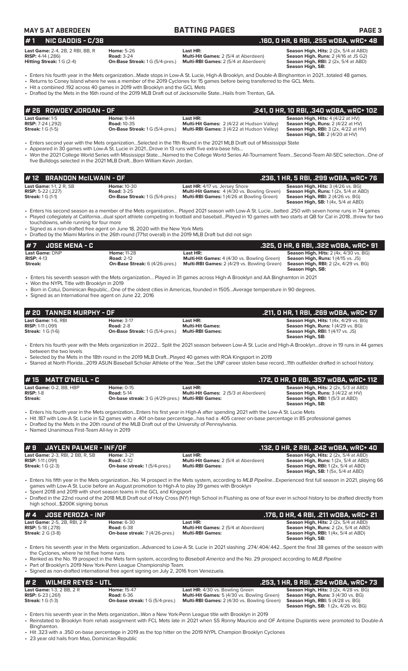|  |  | MAY 5 AT ABERDEEN |
|--|--|-------------------|
|--|--|-------------------|

### **MAY 5 AT ABER 5 AT ABEX 5 AT ABEX 5 AT ABEX 5 AT ABEX 5 AT ABEX 5 AT ABEX 3**

## **# 1 NIC GADDIS - C/3B .160, 0 HR, 6 RBI, .255 wOBA, wRC+ 48**

Last Game: 2-4, 2B, 2 RBI, BB, R<br>**RISP:** 4-14 (.286) Road: 3-24 **Rise Rise Road: 3-24 Home: 5-26 Home: 5-26 Home: High, Runs: 2 (4/16 at JS G2)**<br>Hitting Streak: 1 G (2-4) **On-Base Streak:** 1 G (5/4-pres.) Multi-RBI G **RISP:** 4-14 (.286) **Road:** 3-24 **Multi-Hit Games:** 2 (5/4 at Aberdeen) **Season High, Runs:** 2 (4/16 at JS G2) **Hitting Streak:** 1 G (2-4) **On-Base Streak:** 1 G (5/4-pres.) **Multi-RBI Games:** 2 (5/4 at Aberdeen) **Season High, RBI:** 2 (2x, 5/4 at ABD)

**Season High, SB:** 

• Enters his fourth year in the Mets organization...Made stops in Low-A St. Lucie, High-A Brooklyn, and Double-A Binghamton in 2021…totaled 48 games. • Returns to Coney Island where he was a member of the 2019 Cyclones for 15 games before being transferred to the GCL Mets.

• Hit a combined .192 across 40 games in 2019 with Brooklyn and the GCL Mets

• Drafted by the Mets in the 16th round of the 2019 MLB Draft out of Jacksonville State...Hails from Trenton, GA.

| 1# 26   ROWDEY JORDAN - OF |                                        |                                                   | , .241, 0 HR, 10 RBI, .340 w0BA, wRC+ 102 .     |
|----------------------------|----------------------------------------|---------------------------------------------------|-------------------------------------------------|
| <b>Last Game: 1-5</b>      | <b>Home: 9-44</b>                      | Last HR:                                          | <b>Season High, Hits: 4 (4/22 at HV)</b>        |
| <b>RISP:</b> $7-24$ (.292) | <b>Road: 10-35</b>                     | Multi-Hit Games: 2 (4/22 at Hudson Valley)        | <b>Season High, Runs:</b> $2(4/22$ at $HV$ )    |
| <b>Streak: 1 G (1-5)</b>   | <b>On-Base Streak: 1 G (5/4-pres.)</b> | <b>Multi-RBI Games: 3 (4/22 at Hudson Valley)</b> | <b>Season High, RBI:</b> $3$ (2x, $4/22$ at HV) |
|                            |                                        |                                                   | <b>Season High, SB:</b> $2(4/20$ at $HV$ )      |

• Enters second year with the Mets organization…Selected in the 11th Round in the 2021 MLB Draft out of Mississippi State

• Appeared in 30 games with Low-A St. Lucie in 2021…Drove in 13 runs with five extra-base hits… • Won the 2021 College World Series with Mississippi State….Named to the College World Series All-Tournament Team…Second-Team All-SEC selection…One of five Bulldogs selected in the 2021 MLB Draft…Born William Kevin Jordan.

| 1# 12   BRANDON McILWAIN - OF                                                          |                                                                                   |                                                                                                                                                 | .236, 1 HR, 5 RBI, .299 wOBA, wRC+ 76                                                                                                                                                 |
|----------------------------------------------------------------------------------------|-----------------------------------------------------------------------------------|-------------------------------------------------------------------------------------------------------------------------------------------------|---------------------------------------------------------------------------------------------------------------------------------------------------------------------------------------|
| <b>Last Game: 1-1, 2 R, SB</b><br><b>RISP:</b> 5-22 (.227)<br><b>Streak:</b> 1 G (1-1) | <b>Home: 10-30</b><br><b>Road: 3-25</b><br><b>On-Base Streak: 1 G (5/4-pres.)</b> | <b>Last HR:</b> 4/17 vs. Jersey Shore<br><b>Multi-Hit Games:</b> 4 (4/30 vs. Bowling Green)<br><b>Multi-RBI Games: 1(4/26 at Bowling Green)</b> | <b>Season High, Hits: 3 (4/26 vs. BG)</b><br><b>Season High, Runs:</b> $1(2x, 5/4$ at ABD)<br><b>Season High, RBI:</b> 2 (4/26 vs. BG)<br><b>Season High, SB:</b> $1(4x, 5/4$ at ABD) |

• Enters his second season as a member of the Mets organization… Played 2021 season with Low-A St. Lucie…batted .250 with seven home runs in 74 games Played collegiately at California...dual sport athlete competing in football and baseball...Played in 10 games with two starts at QB for Cal in 2018...threw for two

touchdowns, while running for four more • Signed as a non-drafted free agent on June 18, 2020 with the New York Mets

• Drafted by the Miami Marlins in the 26th round (771st overall) in the 2019 MLB Draft but did not sign

| $#7$ JOSE MENA - C |                                       |                                                    | . .325, O HR, 6 RBI, .322 wOBA, wRC+ 91                          |
|--------------------|---------------------------------------|----------------------------------------------------|------------------------------------------------------------------|
| Last Game: DNP     | <b>Home: 11-28</b>                    | Last HR:                                           | <b>Season High, Hits: 2 (4x, 4/30 vs. BG)</b>                    |
| $RISP: 4-13$       | <b>Road: 2-12</b>                     | <b>Multi-Hit Games:</b> 4 (4/30 vs. Bowling Green) | <b>Season High, Runs: 1 (4/15 vs. JS)</b>                        |
| Streak:            | <b>On-Base Streak:</b> 6 (4/26-pres.) | <b>Multi-RBI Games:</b> 2 (4/29 vs. Bowling Green) | <b>Season High, RBI:</b> 2 (2x, 4/29 vs. BG)<br>Season High, SB: |

• Enters his seventh season with the Mets organization… Played in 31 games across High-A Brooklyn and AA Binghamton in 2021

• Won the NYPL Title with Brooklyn in 2019

• Born in Cotui, Dominican Republic…One of the oldest cities in Americas, founded in 1505…Average temperature in 90 degrees.

• Signed as an International free agent on June 22, 2016

| # 20 TANNER MURPHY - OF |                                        |                         | .211. O HR. 1 RBI. .269 wOBA. wRC+ 57          |
|-------------------------|----------------------------------------|-------------------------|------------------------------------------------|
| Last Game: 1-6, RBI     | <b>Home: 3-17</b>                      | Last HR:                | <b>Season High, Hits:</b> $1(4x, 4/29$ vs. BG) |
| $RISP: 1-11 (0.091)$    | <b>Road: 2-8</b>                       | <b>Multi-Hit Games:</b> | <b>Season High, Runs: 1 (4/29 vs. BG)</b>      |
| <b>Streak: 1G (1-6)</b> | <b>On-Base Streak:</b> 1 G (5/4-pres.) | <b>Multi-RBI Games:</b> | <b>Season High, RBI:</b> 1 (4/17 vs. JS)       |
|                         |                                        |                         | Season High, SB:                               |

• Enters his fourth year with the Mets organization in 2022… Split the 2021 season between Low-A St. Lucie and High-A Brooklyn…drove in 19 runs in 44 games between the two levels

• Selected by the Mets in the 18th round in the 2019 MLB Draft…Played 40 games with ROA Kingsport in 2019

• Starred at North Florida…2019 ASUN Baseball Scholar Athlete of the Year…Set the UNF career stolen base record…11th outfielder drafted in school history.

| .172, 0 HR, 0 RBI, .357 w0BA, wRC+ 112                                                              |                                                                                                                                                                                                                                                                                                                                                                                                                                     |                                                                                    |                                                                                                                                                                           |  |  |  |
|-----------------------------------------------------------------------------------------------------|-------------------------------------------------------------------------------------------------------------------------------------------------------------------------------------------------------------------------------------------------------------------------------------------------------------------------------------------------------------------------------------------------------------------------------------|------------------------------------------------------------------------------------|---------------------------------------------------------------------------------------------------------------------------------------------------------------------------|--|--|--|
| Last Game: 0-2. BB. HBP<br>$RISP: 1-8$<br>Streak:                                                   | <b>Home: 0-15</b><br><b>Road: 5-14</b><br><b>On-base streak:</b> 3 G (4/29-pres.) Multi-RBI Games:                                                                                                                                                                                                                                                                                                                                  | Last HR:<br><b>Multi-Hit Games: 2 (5/3 at Aberdeen)</b>                            | Season High, Hits: 2 (2x, 5/3 at ABD)<br>Season High, Runs: 3 (4/22 at HV)<br>Season High, RBI: 1(5/3 at ABD)<br>Season High, SB:                                         |  |  |  |
|                                                                                                     | • Enters his fourth year in the Mets organizationEnters his first year in High-A after spending 2021 with the Low-A St. Lucie Mets<br>. Hit 187 with Low-A St. Lucie in 52 games with a .401 on-base percentagehas had a .405 career on-base percentage in 85 professional games<br>• Drafted by the Mets in the 20th round of the MLB Draft out of the University of Pennsylvania.<br>• Named Unanimous First-Team All-Ivy in 2019 |                                                                                    |                                                                                                                                                                           |  |  |  |
| l#9<br>JAYLEN PALMER - INF/OF<br>.132, 0 HR, 2 RBI, .242 w0BA, wRC+ 40                              |                                                                                                                                                                                                                                                                                                                                                                                                                                     |                                                                                    |                                                                                                                                                                           |  |  |  |
| Last Game: 2-3, RBI, 2 BB, R, SB<br><b>RISP: 1-11 (.091)</b><br><b>Streak:</b> $1 \text{ } G (2-3)$ | <b>Home: 3-21</b><br><b>Road: 4-32</b><br><b>On-base streak: 1 (5/4-pres.)</b>                                                                                                                                                                                                                                                                                                                                                      | Last HR:<br><b>Multi-Hit Games:</b> 2 (5/4 at Aberdeen)<br><b>Multi-RBI Games:</b> | <b>Season High, Hits: 2 (2x, 5/4 at ABD)</b><br>Season High, Runs: 1(2x, 5/4 at ABD)<br>Season High, RBI: 1(2x, 5/4 at ABD)<br><b>Season High, SB:</b> 1 (5x, 5/4 at ABD) |  |  |  |

• Enters his fifth year in the Mets organization...No. 14 prospect in the Mets system, according to *MLB Pipeline*...Experienced first full season in 2021, playing 66 games with Low-A St. Lucie before an August promotion to High-A to play 39 games with Brooklyn

• Spent 2018 and 2019 with short season teams in the GCL and Kingsport

• Drafted in the 22nd round of the 2018 MLB Draft out of Holy Cross (NY) High School in Flushing as one of four ever in school history to be drafted directly from high school...\$200K signing bonus

| $# 4$ JOSE PEROZA - INF             |                                       |                                             | .176, 0 HR, 4 RBI, .211 w0BA, wRC+ 21                |
|-------------------------------------|---------------------------------------|---------------------------------------------|------------------------------------------------------|
| <b>Last Game: 2-5, 2B, RBI, 2 R</b> | <b>Home:</b> 6-30                     | Last HR:                                    | <b>Season High, Hits: 2 (2x, 5/4 at ABD)</b>         |
| <b>RISP:</b> 5-18 $(.278)$          | <b>Road: 6-38</b>                     | <b>Multi-Hit Games: 2 (5/4 at Aberdeen)</b> | <b>Season High, Runs:</b> $2$ ( $2x$ , $5/4$ at ABD) |
| <b>Streak: 2 G (3-8)</b>            | <b>On-base streak:</b> 7 (4/26-pres.) | <b>Multi-RBI Games:</b>                     | <b>Season High, RBI:</b> 1(4x, 5/4 at ABD)           |
|                                     |                                       |                                             | Season High, SB:                                     |

• Enters his seventh year in the Mets organization...Advanced to Low-A St. Lucie in 2021 slashing .274/.404/.442...Spent the final 38 games of the season with the Cyclones, where he hit five home runs

• Ranked as the No. 19 prospect in the Mets farm system, according to *Baseball America* and the No. 29 prospect according to *MLB Pipeline*

Part of Brooklyn's 2019 New York-Penn League Championship Team.

• Signed as non-drafted international free agent signing on July 2, 2016 from Venezuela.

| $# 2$ WILMER REYES - UTL         |                                        |                                                    | .253, 1 HR, 9 RBI, .294 wOBA, wRC+ 73         |
|----------------------------------|----------------------------------------|----------------------------------------------------|-----------------------------------------------|
| <b>Last Game: 1-3, 2 BB, 2 R</b> | <b>Home: 15-47</b>                     | <b>Last HR:</b> 4/30 vs. Bowling Green             | <b>Season High, Hits: 3 (2x, 4/28 vs. BG)</b> |
| <b>RISP:</b> $6-23$ $(.261)$     | <b>Road: 6-36</b>                      | <b>Multi-Hit Games:</b> 5 (4/30 vs. Bowling Green) | <b>Season High, Runs:</b> 3 (4/30 vs. BG)     |
| <b>Streak:</b> 1 G (1-3)         | <b>On-base streak: 1 G (5/4-pres.)</b> | <b>Multi-RBI Games:</b> 2 (4/30 vs. Bowling Green) | <b>Season High, RBI:</b> 5 (4/28 vs. BG)      |
|                                  |                                        |                                                    | <b>Season High, SB: 1(2x, 4/26 vs. BG)</b>    |

• Enters his seventh year in the Mets organization...Won a New York-Penn League title with Brooklyn in 2019 • Reinstated to Brooklyn from rehab assignment with FCL Mets late in 2021 when SS Ronny Mauricio and OF Antoine Duplantis were promoted to Double-A Binghamton.

• Hit .323 with a .350 on-base percentage in 2019 as the top hitter on the 2019 NYPL Champion Brooklyn Cyclones

• 23 year old hails from Mao, Dominican Republic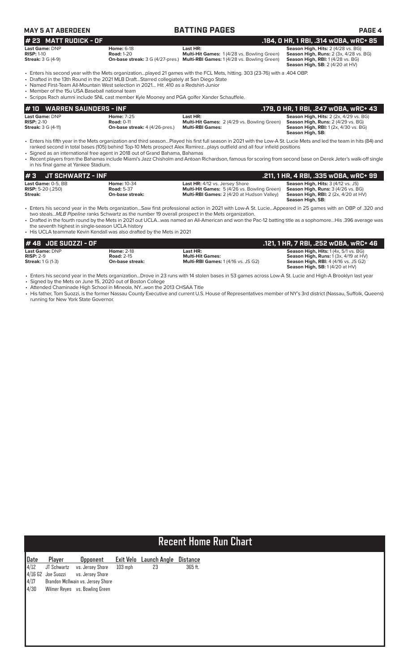### **MAY 5 AT ABERDEEN BATTING PAGES PAGE 4**

#### **Last Game:** DNP **Home:** 6-18 **Last HR: Season High, Hits:** 2 (4/28 vs. BG) **RISP:** 1-10 **Road:** 1-20 **Multi-Hit Games:** 1 (4/28 vs. Bowling Green) **Season High, Runs:** 2 (3x, 4/28 vs. BG) **Streak:** 3 G (4-9) **On-base streak:** 3 G (4/27-pres.) **Multi-RBI Games:** 1 (4/28 vs. Bowling Green) **Season High, RBI:** 1 (4/28 vs. BG) **# 23 MATT RUDICK - OF**<br> **184, 0 HR, 1 RBI, .314 wOBA, wRC+ 85**<br> **184, 0 HR, 1 RBI, .314 wOBA, wRC+ 85**<br> **184, 0 HR, 1 RBI, .314 wOBA, wRC+ 85**<br> **184, 0 HR, 1 RBI, .314 wOBA, wRC+ 85**<br> **184, 0 HR, 1 RBI, .314 wOBA, wRC+ 85**

**Season High, SB:** 2 (4/20 at HV)

• Enters his second year with the Mets organization…played 21 games with the FCL Mets, hitting. 303 (23-76) with a .404 OBP.

• Drafted in the 13th Round in the 2021 MLB Draft…Starred collegiately at San Diego State

• Named First-Team All-Mountain West selection in 2021… Hit .410 as a Redshirt-Junior

• Member of the 15u USA Baseball national team

| · Scripps Rach alumni include SNL cast member Kyle Mooney and PGA golfer Xander Schauffele. |
|---------------------------------------------------------------------------------------------|

| #10 WARREN SAUNDERS - INF |                                       |                                                    | .179, 0 HR, 1 RBI, .247 w0BA, wRC+ 43         |
|---------------------------|---------------------------------------|----------------------------------------------------|-----------------------------------------------|
| Last Game: DNP            | <b>Home: 7-25</b>                     | Last HR:                                           | <b>Season High, Hits: 2 (2x, 4/29 vs. BG)</b> |
| $RISP: 2-10$              | <b>Road: 0-11</b>                     | <b>Multi-Hit Games: 2 (4/29 vs. Bowling Green)</b> | <b>Season High, Runs:</b> 2 (4/29 vs. BG)     |
| <b>Streak:</b> 3 G (4-11) | <b>On-base streak:</b> 4 (4/26-pres.) | <b>Multi-RBI Games:</b>                            | <b>Season High, RBI:</b> 1(2x, 4/30 vs. BG)   |
|                           |                                       |                                                    | Season High, SB:                              |

• Enters his fifth year in the Mets organization and third season…Played his first full season in 2021 with the Low-A St. Lucie Mets and led the team in hits (84) and ranked second in total bases (105) behind Top-10 Mets prospect Alex Ramirez…plays outfield and all four infield positions

• Signed as an international free agent in 2018 out of Grand Bahama, Bahamas

• Recent players from the Bahamas include Miami's Jazz Chisholm and Antoan Richardson, famous for scoring from second base on Derek Jeter's walk-off single in his final game at Yankee Stadium.

| $#3$ JT SCHWARTZ - INF     |                    |                                                    | .211, 1 HR, 4 RBI, .335 wOBA, wRC+ 99                  |
|----------------------------|--------------------|----------------------------------------------------|--------------------------------------------------------|
| Last Game: 0-5. BB         | <b>Home: 10-34</b> | <b>Last HR:</b> 4/12 vs. Jersey Shore              | <b>Season High, Hits: 3 (4/12 vs. JS)</b>              |
| <b>RISP:</b> 5-20 $(.250)$ | <b>Road: 5-37</b>  | <b>Multi-Hit Games:</b> 5 (4/26 vs. Bowling Green) | <b>Season High, Runs:</b> 3 (4/26 vs. BG)              |
| Streak:                    | On-base streak:    | <b>Multi-RBI Games: 2 (4/20 at Hudson Valley)</b>  | <b>Season High, RBI:</b> $2$ ( $2x$ , $4/20$ at $HV$ ) |
|                            |                    |                                                    | Season High, SB:                                       |

• Enters his second year in the Mets organization…Saw first professional action in 2021 with Low-A St. Lucie…Appeared in 25 games with an OBP of .320 and two steals...*MLB Pipeline* ranks Schwartz as the number 19 overall prospect in the Mets organization.

• Drafted in the fourth round by the Mets in 2021 out UCLA…was named an All-American and won the Pac-12 batting title as a sophomore…His .396 average was the seventh highest in single-season UCLA history

• His UCLA teammate Kevin Kendall was also drafted by the Mets in 2021

| $# 48$ JOE SUOZZI - OF              |                   |                                           | . .121, 1 HR, 7 RBI, .252 wOBA, wRC+ 46               |
|-------------------------------------|-------------------|-------------------------------------------|-------------------------------------------------------|
| <b>Last Game: DNP</b>               | <b>Home: 2-18</b> | Last HR:                                  | <b>Season High, Hits:</b> $1(4x, 5/1 \text{ vs. BG})$ |
| $RISP: 2-9$                         | <b>Road: 2-15</b> | <b>Multi-Hit Games:</b>                   | <b>Season High, Runs:</b> $1(3x, 4/19$ at $HV$ )      |
| <b>Streak:</b> $1 \text{ G } (1-3)$ | On-base streak:   | <b>Multi-RBI Games: 1(4/16 vs. JS G2)</b> | <b>Season High, RBI: 4 (4/16 vs. JS G2)</b>           |
|                                     |                   |                                           | <b>Season High, SB:</b> $1(4/20$ at $HV$ )            |

• Enters his second year in the Mets organization...Drove in 23 runs with 14 stolen bases in 53 games across Low-A St. Lucie and High-A Brooklyn last year Signed by the Mets on June 15, 2020 out of Boston College

• Attended Chaminade High School in Mineola, NY...won the 2013 CHSAA Title

• His father, Tom Suozzi, is the former Nassau County Executive and current U.S. House of Representatives member of NY's 3rd district (Nassau, Suffolk, Queens) running for New York State Governor.

# **Recent Home Run Chart**

| Date | Player | Opponent                            |         | Exit Velo Launch Angle Distance |         |
|------|--------|-------------------------------------|---------|---------------------------------|---------|
|      |        | 4/12 JT Schwartz vs. Jersey Shore   | 103 mph | 23                              | 365 ft. |
|      |        | 4/16 G2 Joe Suozzi vs. Jersey Shore |         |                                 |         |
| 4/17 |        | Brandon McIlwain vs. Jersey Shore   |         |                                 |         |
| 4/30 |        | Wilmer Reyes vs. Bowling Green      |         |                                 |         |
|      |        |                                     |         |                                 |         |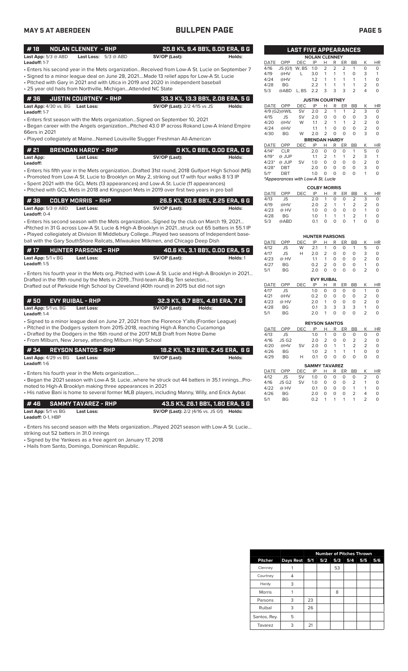### **MAY 5 AT ABERDEEN BULLPEN PAGE PAGE 5**

|--|

| #18                        | NOLAN CLENNEY - RHP           | 20.8 K%, 9.4 BB%, 6.00 ERA, 6 G |        |
|----------------------------|-------------------------------|---------------------------------|--------|
| <b>Last App:</b> 5/3 @ ABD | <b>Last Loss:</b> $5/3 @ ABD$ | SV/OP (Last):                   | Holds: |

- Enters his second year in the Mets organization...Received from Low-A St. Lucie on September 7 **Leadoff:** 1-7
- Signed to a minor league deal on June 28, 2021....Made 13 relief apps for Low-A St. Lucie
- Pitched with Gary in 2021 and with Utica in 2019 and 2020 in independent baseball • 25 year old hails from Northville, Michigan...Attended NC State

|  | 4 36     JUSTIN COURTNEY - RHP   | 33.3 K%, 13.3 BB%, 2.08 ERA, 5 G    |        |
|--|----------------------------------|-------------------------------------|--------|
|  | Last App: 4/30 vs. BG Last Loss: | <b>SV/OP (Last):</b> 2/2 4/15 vs JS | Holds: |

**Leadoff:** 1-7

• Enters first season with the Mets organization…Signed on September 10, 2021

• Began career with the Angels organization…Pitched 43.0 IP across Rokand Low-A Inland Empire 66ers in 2021

• Played collegiately at Maine…Named Louisville Slugger Freshman All-American

| #21       | <b>BRENDAN HARDY - RHP</b> |               | 0 K%, 0 BB%, 0.00 ERA, 0 G |
|-----------|----------------------------|---------------|----------------------------|
| Last App: | Last Loss:                 | SV/OP (Last): | Holds:                     |

• Enters his fifth year in the Mets organization...Drafted 31st round, 2018 Gulfport High School (MS) **Leadoff:**

• Promoted from Low-A St. Lucie to Brooklyn on May 2, striking out 17 with four walks 8 1/3 IP

• Spent 2021 with the GCL Mets (13 appearances) and Low-A St. Lucie (11 appearances) • Pitched with GCL Mets in 2018 and Kingsport Mets in 2019 over first two years in pro ball

|                              |            | 26.5 K%. 20.6 BB%. 2.25 ERA. 6 G |        |
|------------------------------|------------|----------------------------------|--------|
| <b>Last App:</b> $5/3$ @ ABD | Last Loss: | SV/OP (Last):                    | Holds: |
| <b>Leadoff:</b> $0-4$        |            |                                  |        |

• Enters his second season with the Mets organization…Signed by the club on March 19, 2021… •Pitched in 31 G across Low-A St. Lucie & High-A Brooklyn in 2021…struck out 65 batters in 55.1 IP • Played collegiately at Division III Middlebury College…Played two seasons of Independent baseball with the Gary SouthShore Railcats, Milwaukee Milkmen, and Chicago Deep Dish

| #17                            | <b>HUNTER PARSONS - RHP</b> | 40.6 K%, 3.1 BB%, 0.00 ERA, 5 G |          |
|--------------------------------|-----------------------------|---------------------------------|----------|
| <b>Last App:</b> $5/1 \vee BG$ | Last Loss:                  | SV/OP (Last):                   | Holds: 1 |
| <b>Leadoff:</b> 1-5            |                             |                                 |          |

• Enters his fourth year in the Mets org..Pitched with Low-A St. Lucie and High-A Brooklyn in 2021… Drafted in the 19th round by the Mets in 2019...Third-team All-Big Ten selection... Drafted out of Parkside High School by Cleveland (40th round) in 2015 but did not sign

| 1 # 50       EVY RUIBAL - RHP        |            |               | 32.3 K%, 9.7 BB%, 4.91 ERA, 7 G |
|--------------------------------------|------------|---------------|---------------------------------|
| <b>Last App:</b> $5/1$ vs. $BG$<br>. | Last Loss: | SV/OP (Last): | Holds:                          |

**Leadoff:** 1-4

• Signed to a minor league deal on June 27, 2021 from the Florence Y'alls (Frontier League)

• Pitched in the Dodgers system from 2015-2018, reaching High-A Rancho Cucamonga

• Drafted by the Dodgers in the 16th round of the 2017 MLB Draft from Notre Dame • From Milburn, New Jersey, attending Milburn High School

| #34 REYSON SANTOS - RHP                            |                                                                                                   |               | ' 18.2 K%, 18.2 BB%, 2.45 ERA,  6 G |
|----------------------------------------------------|---------------------------------------------------------------------------------------------------|---------------|-------------------------------------|
| <b>Last App:</b> 4/29 vs BG<br><b>Leadoff:</b> 1-6 | Last Loss:                                                                                        | SV/OP (Last): | Holds:                              |
| • Enters his fourth year in the Mets organization  | . Bogan tho 2021 sosson with Low A St. Lucio, where he struck out AA batters in 351 innings. Pro- |               |                                     |

out 44 batters in 35.1 innings…Pro moted to High-A Brooklyn making three appearances in 2021

• His native Bani is home to several former MLB players, including Manny, Willy, and Erick Aybar.

|                                | <b>#46 SAMMY TAVAREZ - RHP</b> | 43.5 K%. 26.1 BB%. 1.80 ERA. 5 G                        |  |
|--------------------------------|--------------------------------|---------------------------------------------------------|--|
| <b>Last App:</b> $5/1$ vs $BG$ | Last Loss:                     | <b>SV/OP (Last):</b> 2/2 (4/16 vs. JS G1) <b>Holds:</b> |  |
| Leadoff: $0-1$ . HBP           |                                |                                                         |  |

• Enters his second season with the Mets organization…Played 2021 season with Low-A St. Lucie…

striking out 52 batters in 31.0 innings

• Signed by the Yankees as a free agent on January 17, 2018

• Hails from Santo, Domingo, Dominican Republic.

|             |                                   | <b>LAST FIVE APPEARANCES</b> |                        |                |                |                |                |                |             |
|-------------|-----------------------------------|------------------------------|------------------------|----------------|----------------|----------------|----------------|----------------|-------------|
|             |                                   |                              | <b>NOLAN CLENNEY</b>   |                |                |                |                |                |             |
| <b>DATE</b> | OPP                               | <b>DEC</b>                   | IP                     | Η              | R              | ER             | <b>BB</b>      | Κ              | <b>HR</b>   |
| 4/16        | <b>JS (G1)</b>                    | W, BS                        | 1.0                    | $\overline{2}$ | $\overline{2}$ | $\overline{2}$ | 1              | 0              | 0           |
| 4/19        | @HV                               | L                            | 3.0                    | 1              | 1              | 1              | $\overline{O}$ | 3              | 1           |
| 4/24        | @HV                               |                              | 1.2                    | 1              | 1              | 1              | 1              | 1              | 0           |
| 4/28        | <b>BG</b>                         |                              | 2.2                    | 1              | 1              | $\mathbf{1}$   | 1              | $\overline{2}$ | 0           |
| 5/3         | @ABD                              | L, BS                        | 2.2                    | 3              | 3              | 3              | $\overline{2}$ | 4              | $\Omega$    |
|             |                                   |                              | <b>JUSTIN COURTNEY</b> |                |                |                |                |                |             |
| <b>DATE</b> | OPP                               | DEC                          | IP                     | Н              | R              | ER             | <b>BB</b>      | Κ              | HR          |
|             | 4/9 (G2)@WIL                      | <b>SV</b>                    | 2.0                    | $\overline{2}$ | 1              | 1              | 2              | 3              | 0           |
| 4/15        | <b>JS</b>                         | SV                           | 2.0                    | 0              | $\Omega$       | O              | $\mathbf 0$    | 3              | 0           |
| 4/20        | @HV                               | W                            | 1.1                    | $\overline{2}$ | 1              | 1              | $\overline{2}$ | 2              | 0           |
| 4/24        | @HV                               |                              | 1.1                    | 1              | $\Omega$       | 0              | 0              | $\overline{2}$ | 0           |
| 4/30        | <b>BG</b>                         | W                            | 2.0                    | $\overline{2}$ | 0              | 0              | 0              | 3              | O           |
|             |                                   |                              | <b>BRENDAN HARDY</b>   |                |                |                |                |                |             |
| DATE        | OPP                               | DEC                          | IP                     | н              | R              | ER             | <b>BB</b>      | Κ              | <b>HR</b>   |
| $4/14*$     | <b>CLR</b>                        |                              | 2.0                    | 0              | 0              | 0              | 1              | 5              | 0           |
| $4/19*$     | @ JUP                             |                              | 1.1                    | $\overline{2}$ | 1              | 1              | $\overline{2}$ | 3              | 1           |
| $4/23*$     | @ JUP                             | <b>SV</b>                    | 1.0                    | $\overline{O}$ | 0              | $\overline{O}$ | 0              | $\overline{2}$ | 0           |
| $4/28*$     | <b>DBT</b>                        |                              | 2.0                    | 0              | 0              | 0              | 0              | 3              | 0           |
| $5/1*$      | <b>DBT</b>                        |                              | 1.0                    | 0              | 0              | O              | O              | 1              | $\Omega$    |
|             | *Appearances with Low-A St. Lucie |                              |                        |                |                |                |                |                |             |
|             |                                   |                              | <b>COLBY MORRIS</b>    |                |                |                |                |                |             |
| <b>DATE</b> | OPP                               | DEC                          | IP                     | Н              | R              | ER             | BB             | Κ              | HR          |
| 4/13        | <b>JS</b>                         |                              | 2.0                    | 1              | 0              | 0              | 2              | 3              | 0           |
| 4/19        | @HV                               |                              | 2.0                    | $\overline{2}$ | $\mathbf{1}$   | 1              | $\overline{2}$ | $\overline{2}$ | 0           |
| 4/23        | @ HV                              |                              | 1.0                    | O              | $\circ$        | 0              | 0              | 1              | 0           |
| 4/28        | <b>BG</b>                         |                              | 1.0                    | 1              | 1              | 1              | $\overline{2}$ | 1              | 0           |
| 5/3         | @ABD                              |                              | 0.1                    | O              | 0              | 0              | 1              | $\Omega$       | 0           |
|             |                                   |                              |                        |                |                |                |                |                |             |
|             |                                   |                              | <b>HUNTER PARSONS</b>  |                |                |                |                |                |             |
| <b>DATE</b> | OPP                               | <b>DEC</b>                   | IP                     | H              | R              | ER             | <b>BB</b>      | Κ              | HR          |
| 4/12        | <b>JS</b>                         | W                            | 2.1                    | 1              | 0              | 0              | 1              | 5              | 0           |
| 4/17        | JS                                | Н                            | 2.0                    | $\overline{2}$ | 0              | 0              | 0              | 3              | 0           |
| 4/23        | @ HV                              |                              | 1.1                    | $\mathbf{1}$   | 0              | 0              | 0              | $\overline{2}$ | 0           |
| 4/27        | <b>BG</b>                         |                              | 0.2                    | $\overline{2}$ | 0              | 0              | 0              | 1              | 0           |
| 5/1         | <b>BG</b>                         |                              | 2.0                    | O              | 0              | $\circ$        | 0              | $\overline{2}$ | $\mathbf 0$ |
|             |                                   |                              | <b>EVY RUIBAL</b>      |                |                |                |                |                |             |
| <b>DATE</b> | OPP                               | <b>DEC</b>                   | IP                     | н              | R              | ER             | BB             | Κ              | <b>HR</b>   |

| 4/17                 | JS.  | 1 $\Omega$ |   | 0 | O | O |               |   |
|----------------------|------|------------|---|---|---|---|---------------|---|
| 4/21                 | @HV  | 0.2        | O | Ο | O | O |               |   |
| 4/23                 | @ HV | 2.0        | 1 | Ο | O | O | $\mathcal{P}$ |   |
| 4/28                 | BG   | O 1        | 3 | 3 | 3 | 3 |               | O |
| 5/1                  | BG   | 2.0        | 1 | Ο | Ο | Ο | 2             | O |
|                      |      |            |   |   |   |   |               |   |
| <b>REYSON SANTOS</b> |      |            |   |   |   |   |               |   |

| DATE OPP |            | DEC IP H R ER BB K HR |                       |  |           |                |             |          |
|----------|------------|-----------------------|-----------------------|--|-----------|----------------|-------------|----------|
| 4/13     | JS         |                       |                       |  | 1.0 1 0 0 | $\Omega$       | O           | $\Omega$ |
|          | 4/16 JS G2 |                       | 2.0 2 0               |  |           |                | $0 \t2 \t2$ | 0        |
|          | 4/20 @HV   | <b>SV</b>             |                       |  |           | 2.0 0 1 1 2 2  |             | O        |
| 4/26     | BG -       |                       |                       |  |           | 1.0 2 1 1 1    | $\Omega$    | O        |
| 4/29     | BG -       | H                     | $0.1 \quad 0 \quad 0$ |  | $\Omega$  | $\overline{O}$ | O           | 0        |
|          |            |                       |                       |  |           |                |             |          |

|      |                   |           | <b>SAMMY TAVAREZ</b> |   |          |          |                |               |           |
|------|-------------------|-----------|----------------------|---|----------|----------|----------------|---------------|-----------|
| DATE | OPP               | DEC.      | IP                   | н |          | R ER     | <b>BB</b>      | K             | <b>HR</b> |
| 4/12 | JS.               | <b>SV</b> | 1.0                  | 0 | $\Omega$ | $\Omega$ | 0              |               | O         |
| 4/16 | JS G <sub>2</sub> | <b>SV</b> | 1.0                  | 0 | $\Omega$ | $\Omega$ | $\mathcal{L}$  | 1             |           |
| 4/22 | @ HV              |           | $\Omega$ 1           | O | $\Omega$ | $\Omega$ | $\overline{1}$ |               |           |
| 4/26 | <b>BG</b>         |           | 2 O                  | O | O        | O        | $\mathcal{L}$  | Δ             |           |
| 5/1  | <b>RG</b>         |           | ሰ 2                  |   |          | 1        | 1              | $\mathcal{D}$ |           |

|                |               |    | <b>Number of Pitches Thrown</b> |     |     |     |     |
|----------------|---------------|----|---------------------------------|-----|-----|-----|-----|
| <b>Pitcher</b> | Days Rest 5/1 |    | 5/2                             | 5/3 | 5/4 | 5/5 | 5/6 |
| Clenney        |               |    |                                 | 53  |     |     |     |
| Courtney       | 4             |    |                                 |     |     |     |     |
| Hardy          | 3             |    |                                 |     |     |     |     |
| <b>Morris</b>  |               |    |                                 | 8   |     |     |     |
| Parsons        | 3             | 23 |                                 |     |     |     |     |
| Ruibal         | 3             | 26 |                                 |     |     |     |     |
| Santos, Rey.   | 5             |    |                                 |     |     |     |     |
| Tavarez        | 3             | 21 |                                 |     |     |     |     |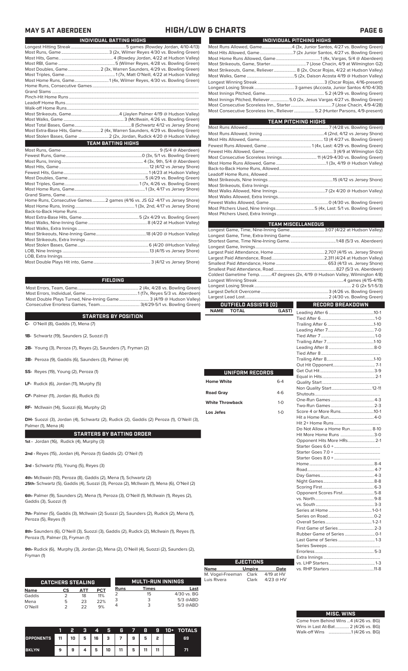### **MAY 5 AT ABERDEEN HIGH/LOW & CHARTS PAGE 6**

| INDIVIDUAL BATTING HIGHS                                                   |
|----------------------------------------------------------------------------|
|                                                                            |
|                                                                            |
|                                                                            |
|                                                                            |
| Most Doubles, Game 2 (3x, Warren Saunders, 4/29 vs. Bowling Green)         |
|                                                                            |
| Most Home Runs, Game1 (4x, Wilmer Reyes, 4/30 vs. Bowling Green)           |
|                                                                            |
|                                                                            |
|                                                                            |
|                                                                            |
|                                                                            |
|                                                                            |
|                                                                            |
|                                                                            |
| Most Extra-Base Hits, Game 2 (4x, Warren Saunders, 4/29 vs. Bowling Green) |
|                                                                            |
| <b>TEAM BATTING HIGHS</b>                                                  |
|                                                                            |
|                                                                            |
|                                                                            |
|                                                                            |
|                                                                            |
|                                                                            |
|                                                                            |
|                                                                            |
|                                                                            |
| Home Runs, Consecutive Games2 games (4/16 vs. JS G2 -4/17 vs Jersey Shore) |
|                                                                            |
|                                                                            |

| <b>FIELDING</b>                                                     |  |
|---------------------------------------------------------------------|--|
|                                                                     |  |
|                                                                     |  |
| Most Double Plays Turned, Nine-Inning Game 3 (4/19 @ Hudson Valley) |  |
|                                                                     |  |

### **STARTERS BY POSITION**

**C-** O'Neill (8), Gaddis (7), Mena (7)

**1B-** Schwartz (19), Saunders (2, Suozzi (1)

- **2B-** Young (3), Peroza (7), Reyes (2), Saunders (7), Fryman (2)
- **3B-** Peroza (9), Gaddis (6), Saunders (3), Palmer (4)
- **SS-** Reyes (19), Young (2), Peroza (1)
- **LF-** Rudick (6), Jordan (11), Murphy (5)
- **CF-** Palmer (11), Jordan (6), Rudick (5)

**RF-** McIlwain (14), Suozzi (6), Murphy (2)

**DH-** Suozzi (3), Jordan (4), Schwartz (2), Rudick (2), Gaddis (2) Peroza (1), O'Neill (3), Palmer (1), Mena (4)

#### **STARTERS BY BATTING ORDER**

**1st -** Jordan (16), Rudick (4), Murphy (3)

**2nd -** Reyes (15), Jordan (4), Peroza (1) Gaddis (2). O'Neil (1)

**3rd -** Schwartz (15), Young (5), Reyes (3)

**4th-** McIlwain (10), Peroza (8), Gaddis (2), Mena (1), Schwartz (2) **25th-** Schwartz (5), Gaddis (4), Suozzi (3), Peroza (2), McIlwain (1), Mena (6), O'Neil (2)

**6th-** Palmer (9), Saunders (2), Mena (1), Peroza (3), O'Neill (1), McIlwain (1), Reyes (2), Gaddis (3), Suozzi (1)

**7th-** Palmer (5), Gaddis (3), McIlwain (2) Suozzi (2), Saunders (2), Rudick (2), Mena (1), Peroza (5), Reyes (1)

**8th-** Saunders (6), O'Neill (3), Suozzi (3), Gaddis (2), Rudick (2), McIlwain (1), Reyes (1), Peroza (1), Palmer (3), Fryman (1)

**9th-** Rudick (6), Murphy (3), Jordan (2), Mena (2), O'Neill (4), Suozzi (2), Saunders (2), Fryman (1)

|             | <b>CATCHERS STEALING</b> |     |            |      | <b>MULTI-RUN INNINGS</b> |             |
|-------------|--------------------------|-----|------------|------|--------------------------|-------------|
| <b>Name</b> | СS                       | ATT | <b>PCT</b> | Runs | <b>Times</b>             | Last        |
| Gaddis      |                          | 18  | 11%        |      | 15                       | 4/30 vs. BG |
| Mena        | 5                        | 23  | 22%        |      | 3                        | $5/3$ @ABD  |
| O'Neill     |                          | つつ  | 9%         |      | 3                        | $5/3$ @ABD  |

|                  |        | 2 | з | 4 | 5. | Æ                     | - 7 - 8 |    | n gr | 10+ TOTALS |
|------------------|--------|---|---|---|----|-----------------------|---------|----|------|------------|
| <b>OPPONENTS</b> | I 11 I |   |   |   |    | $10$   5   16   3   7 | 9       | 5  | ,    | 69         |
| <b>BKLYN</b>     | 9      | 9 |   | 5 | 10 | 11                    | 5       | 11 |      |            |

| INDIVIDUAL PITCHING HIGHS                                                                                                                                    |
|--------------------------------------------------------------------------------------------------------------------------------------------------------------|
| Most Runs Allowed, Game4 (3x, Junior Santos, 4/27 vs. Bowling Green)                                                                                         |
|                                                                                                                                                              |
|                                                                                                                                                              |
|                                                                                                                                                              |
| Most Strikeouts, Game, Reliever 8 (2x, Oscar Rojas, 4/22 at Hudson Valley)                                                                                   |
|                                                                                                                                                              |
|                                                                                                                                                              |
|                                                                                                                                                              |
|                                                                                                                                                              |
| Most Innings Pitched, Reliever 5.0 (2x, Jesus Vargas 4/27 vs. Bowling Green)<br>Most Consecutive Scoreless Inn., Reliever  5.2 (Hunter Parsons, 4/9-present) |

| <b>TEAM PITCHING HIGHS</b>                                          |  |
|---------------------------------------------------------------------|--|
|                                                                     |  |
|                                                                     |  |
|                                                                     |  |
|                                                                     |  |
|                                                                     |  |
| Most Consecutive Scoreless Innings 11 (4/29-4/30 vs. Bowling Green) |  |
|                                                                     |  |
|                                                                     |  |
|                                                                     |  |
|                                                                     |  |
|                                                                     |  |
|                                                                     |  |
|                                                                     |  |
|                                                                     |  |
|                                                                     |  |
|                                                                     |  |

|                             |                                                                   | <b>TEAM MISCELLANEOUS</b>                                                    |  |  |  |  |
|-----------------------------|-------------------------------------------------------------------|------------------------------------------------------------------------------|--|--|--|--|
|                             | Longest Game, Time, Nine-Inning Game 3:07 (4/22 at Hudson Valley) |                                                                              |  |  |  |  |
|                             |                                                                   |                                                                              |  |  |  |  |
|                             |                                                                   |                                                                              |  |  |  |  |
|                             |                                                                   |                                                                              |  |  |  |  |
|                             |                                                                   |                                                                              |  |  |  |  |
|                             |                                                                   |                                                                              |  |  |  |  |
|                             |                                                                   |                                                                              |  |  |  |  |
|                             |                                                                   |                                                                              |  |  |  |  |
|                             |                                                                   | Coldest Gametime Temp. 47 degrees (2x, 4/19 @ Hudson Valley, Wilmington 4/8) |  |  |  |  |
|                             |                                                                   |                                                                              |  |  |  |  |
|                             |                                                                   |                                                                              |  |  |  |  |
|                             |                                                                   |                                                                              |  |  |  |  |
|                             |                                                                   |                                                                              |  |  |  |  |
| OUTFIELD ASSISTS (0)        |                                                                   | <b>RECORD BREAKDOWN</b>                                                      |  |  |  |  |
| <b>NAME</b><br><b>TOTAL</b> | (LAST)                                                            |                                                                              |  |  |  |  |
|                             |                                                                   |                                                                              |  |  |  |  |
|                             |                                                                   |                                                                              |  |  |  |  |
|                             |                                                                   |                                                                              |  |  |  |  |
|                             |                                                                   |                                                                              |  |  |  |  |
|                             |                                                                   |                                                                              |  |  |  |  |
|                             |                                                                   |                                                                              |  |  |  |  |
|                             |                                                                   |                                                                              |  |  |  |  |
|                             |                                                                   |                                                                              |  |  |  |  |
|                             |                                                                   |                                                                              |  |  |  |  |
| UNIFORM RECORDS             |                                                                   |                                                                              |  |  |  |  |
| <b>Home White</b>           |                                                                   |                                                                              |  |  |  |  |
|                             | $6 - 4$                                                           |                                                                              |  |  |  |  |
| <b>Road Gray</b>            | 4-6                                                               |                                                                              |  |  |  |  |
|                             |                                                                   |                                                                              |  |  |  |  |
| <b>White Throwback</b>      | $1 - 0$                                                           |                                                                              |  |  |  |  |
|                             |                                                                   |                                                                              |  |  |  |  |
| Los Jefes                   | $1-0$                                                             |                                                                              |  |  |  |  |
|                             |                                                                   |                                                                              |  |  |  |  |
|                             |                                                                   | Do Not Allow a Home Run 8-10                                                 |  |  |  |  |
|                             |                                                                   | Hit More Home Runs 3-0                                                       |  |  |  |  |
|                             |                                                                   | Opponent Hits More HRs 2-1                                                   |  |  |  |  |
|                             |                                                                   |                                                                              |  |  |  |  |
|                             |                                                                   |                                                                              |  |  |  |  |
|                             |                                                                   |                                                                              |  |  |  |  |
|                             |                                                                   |                                                                              |  |  |  |  |
|                             |                                                                   |                                                                              |  |  |  |  |
|                             |                                                                   |                                                                              |  |  |  |  |
|                             |                                                                   |                                                                              |  |  |  |  |
|                             |                                                                   |                                                                              |  |  |  |  |
|                             |                                                                   | Opponent Scores First5-8                                                     |  |  |  |  |
|                             |                                                                   |                                                                              |  |  |  |  |
|                             |                                                                   |                                                                              |  |  |  |  |
|                             |                                                                   |                                                                              |  |  |  |  |
|                             |                                                                   |                                                                              |  |  |  |  |
|                             |                                                                   |                                                                              |  |  |  |  |
|                             |                                                                   |                                                                              |  |  |  |  |
|                             |                                                                   |                                                                              |  |  |  |  |
|                             |                                                                   |                                                                              |  |  |  |  |
|                             |                                                                   |                                                                              |  |  |  |  |
|                             |                                                                   |                                                                              |  |  |  |  |

| <b>EJECTIONS</b> |               |             |  |  |  |  |  |  |  |
|------------------|---------------|-------------|--|--|--|--|--|--|--|
| <b>Name</b>      | <b>Umpire</b> | Date        |  |  |  |  |  |  |  |
| M. Vogel-Freeman | Clark         | 4/19 at HV  |  |  |  |  |  |  |  |
| Luis Rivera      | Clark         | $4/23$ @ HV |  |  |  |  |  |  |  |

| <b>MISC. WINS</b>                      |
|----------------------------------------|
| Come from Behind Wins  4 (4/26 vs. BG) |
| Wins in Last At-Bat 2 (4/26 vs. BG)    |

Extra Innings .....................................................

vs. RHP Starters .........................................11-8

vs. LHP Starters

Walk-off Wins .....................1 (4/26 vs. BG)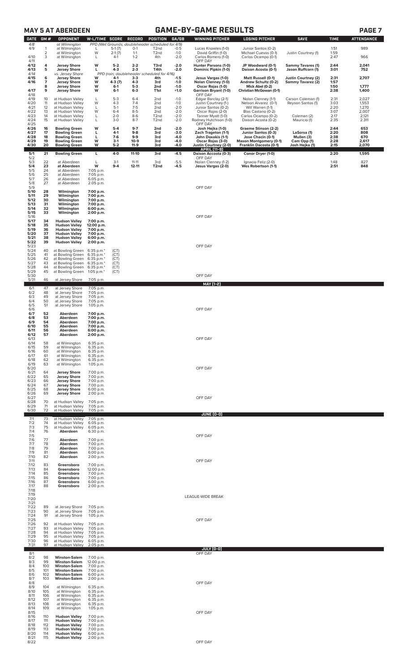| <b>GAME-BY-GAME RESULTS</b><br><b>MAY 5 AT ABERDEEN</b> |                          |                                                                      |                                             |                               |                             |                                                               |                            |                                                                   | <b>PAGE 7</b>                                                             |                                           |                      |                         |
|---------------------------------------------------------|--------------------------|----------------------------------------------------------------------|---------------------------------------------|-------------------------------|-----------------------------|---------------------------------------------------------------|----------------------------|-------------------------------------------------------------------|---------------------------------------------------------------------------|-------------------------------------------|----------------------|-------------------------|
| <b>DATE</b><br>4/8                                      | GM#                      | OPPONENT<br>at Wilmington                                            | W-L/TIME SCORE                              |                               | <b>RECORD</b>               | POSITION<br>PPD (Wet Grounds; doubleheader scheduled for 4/9) | GA/GB                      | <b>WINNING PITCHER</b>                                            | <b>LOSING PITCHER</b>                                                     | <b>SAVE</b>                               | <b>TIME</b>          | <b>ATTENDANCE</b>       |
| 4/9<br>4/10                                             | 1<br>$\overline{2}$<br>3 | at Wilmington<br>at Wilmington<br>at Wilmington                      | L<br>W<br>L                                 | $5-1(7)$<br>$2-1(7)$<br>$4-1$ | $O-1$<br>$1 - 1$<br>$1 - 2$ | T <sub>2</sub> nd<br>T <sub>2</sub> nd<br>4th                 | $-0.5$<br>$-1.0$<br>$-2.0$ | Lucas Knowles (1-0)<br>David Griffin (1-0)<br>Carlos Romero (1-0) | Junior Santos (0-2)<br>Michael Cuevas (0-1)<br>Carlos Ocampo (0-1)        | Justin Courtney (1)                       | 1:51<br>1:59<br>2:47 | 989<br>966              |
| 4/11<br>4/12                                            | 4                        | <b>Jersey Shore</b>                                                  | W                                           | $5 - 2$                       | $2 - 2$                     | T3rd                                                          | $-2.0$                     | OFF DAY<br>Hunter Parsons (1-0)                                   | JP Woodward (0-1)                                                         | <b>Sammy Tavares (1)</b>                  | 2:44                 | 2,041                   |
| 4/13<br>4/14<br>4/15                                    | 5<br>6                   | <b>Jersey Shore</b><br>vs. Jersey Shore<br><b>Jersey Shore</b>       | г<br>W                                      | $4-3$<br>$4-1$                | $2 - 3$<br>$3-3$            | T4th<br>PPD (rain; doubleheader scheduled for 4/16)<br>4th    | $-2.0$<br>$-1.5$           | Dominic Pipkin (1-0)<br>Jesus Vargas (1-0)                        | Daison Acosta (0-1)<br>Matt Russell (0-1)                                 | Jason Ruffcorn (1)<br>Justin Courtney (2) | 3:01<br>2:31         | 752<br>2,707            |
| 4/16                                                    | 7<br>8                   | <b>Jersey Shore</b><br><b>Jersey Shore</b>                           | W<br>W                                      | $4-3(7)$<br>$6-1$             | 4-3<br>$5-3$                | 3rd<br>2nd                                                    | $-1.0$<br>$-1.0$           | Nolan Clenney (1-0)<br>Oscar Rojas (1-0)                          | Andrew Schultz (0-2)<br>Mick Abel (0-2)                                   | <b>Sammy Tavarez (2)</b>                  | 1:57<br>1:50         | 1,777                   |
| 4/17<br>4/18<br>4/19                                    | 9<br>10                  | <b>Jersey Shore</b><br>at Hudson Valley                              | W<br>L                                      | $6-1$<br>$5-3$                | $6 - 3$<br>$6 - 4$          | T1st<br>2 <sub>nd</sub>                                       | $+1.0$<br>$-1.0$           | Garrison Bryant (1-0)<br>OFF DAY<br>Edgar Barclay (2-1)           | Christian McGowan (0-1)<br>Nolan Clenney (1-1)                            | Carson Coleman (1)                        | 2:38<br>2:31         | 1,400<br>2,027          |
| 4/20<br>4/21                                            | 11<br>12                 | at Hudson Valley<br>at Hudson Valley                                 | W<br>L                                      | $4 - 3$<br>$5-1$              | $7 - 4$<br>$7 - 5$          | 2 <sub>nd</sub><br>2 <sub>nd</sub>                            | $-1.0$<br>$-2.0$           | Justin Courtney (1-)<br>Junior Santos (0-2)                       | Nelson Alvarez (0-1)<br>Will Warren (1-1)                                 | Reyson Santos (1)                         | 3:03<br>2:20         | 1,553<br>1,270          |
| 4/22<br>4/23<br>4/24                                    | 13<br>14<br>15           | at Hudson Valley<br>at Hudson Valley<br>at Hudson Valley             | W<br>L<br>L                                 | $6 - 4$<br>$2 - 0$<br>$3-0$   | $8 - 5$<br>$8-6$<br>$8 - 7$ | 2 <sub>nd</sub><br>T <sub>2</sub> nd<br>T <sub>2</sub> nd     | $-2.0$<br>$-2.0$<br>$-2.0$ | Oscar Rojas (2-0)<br>Tanner Myatt (1-0)<br>Rodney Hutchison (1-0) | Blas Castano (0-2)<br>Carlos Ocampo (0-2)<br>Daison Acosta (0-2)          | Coleman (2)<br>Mauricio (1)               | 3:07<br>2:17<br>2:35 | 2,007<br>2,121<br>2.311 |
| 4/25<br>4/26                                            | 16                       | <b>Bowling Green</b>                                                 | W                                           | $5-4$                         | $9 - 7$                     | 2 <sub>nd</sub>                                               | $-2.0$                     | OFF DAY<br>Josh Hejka (1-0)                                       | Graeme Stinson (2-2)                                                      |                                           | 2:44                 | 653                     |
| 4/27<br>4/28<br>4/29                                    | 17<br>18<br>19           | <b>Bowling Green</b><br><b>Bowling Green</b><br><b>Bowling Green</b> | L<br>L<br>W                                 | $4-1$<br>$7-6$<br>$3-1$       | 9-8<br>9-9<br>$10-9$        | 3rd<br>3rd<br>3rd                                             | $-3.0$<br>$-4.0$<br>$-4.0$ | Zach Trageton (1-1)<br>John Doxakis (1-1)<br>Oscar Rojas (3-0)    | Junior Santos (0-3)<br>Jose Chacin (0-1)<br><b>Mason Montgomery (0-1)</b> | LaSorsa (1)<br>Mullen (3)<br>Cam Opp (1)  | 2:20<br>2:38<br>2:28 | 808<br>670<br>2,617     |
| 4/30                                                    | 20<br>21                 | <b>Bowling Green</b><br><b>Bowling Green</b>                         | W<br>L                                      | $5 - 2$<br>$4-0$              | $11-9$<br>11-10             | 3rd<br>3rd                                                    | -4.0<br>$-4.5$             | Justin Courtney (2-0)<br><b>APRIL [11-9]</b>                      | Franklin Dacosta (0-1)<br>Conor Dryer (1-0)                               | <u> Josh Hejka (1)</u>                    | 2:15<br>2:20         | 2,070<br>1,595          |
| 5/1<br>5/2<br>5/3                                       | 22                       | at Aberdeen                                                          | L                                           | $3-1$                         | $11 - 11$                   | 3rd                                                           | $-5.5$                     | Daison Accosta (0-3)<br>OFF DAY<br>Nolan Clenney (1-2)            | Ignacio Feliz (2-0)                                                       |                                           | 1:48                 | 827                     |
| 5/4<br>5/5<br>5/6                                       | 23<br>24<br>25           | at Aberdeen<br>at Aberdeen<br>at Aberdeen                            | W<br>7:05 p.m.<br>7:05 p.m.                 | $9 - 4$                       | 12-11                       | T2nd                                                          | $-4.5$                     | Jesus Vargas (2-0)                                                | Wes Robertson (1-1)                                                       |                                           | 2:51                 | 848                     |
| 5/7<br>5/8                                              | 26<br>27                 | at Aberdeen<br>at Aberdeen                                           | 6:05 p.m.<br>2:05 p.m.                      |                               |                             |                                                               |                            |                                                                   |                                                                           |                                           |                      |                         |
| 5/9<br>5/10<br>5/11                                     | 28<br>29                 | Wilmington<br>Wilmington                                             | 7:00 p.m.<br>7:00 p.m.                      |                               |                             |                                                               |                            | OFF DAY                                                           |                                                                           |                                           |                      |                         |
| 5/12<br>5/13                                            | 30<br>31                 | Wilmington<br>Wilmington                                             | 7:00 p.m.<br>7:00 p.m.                      |                               |                             |                                                               |                            |                                                                   |                                                                           |                                           |                      |                         |
| 5/14<br>5/15<br>5/16                                    | 32<br>33                 | Wilmington<br>Wilmington                                             | 6:00 p.m.<br>2:00 p.m.                      |                               |                             |                                                               |                            | OFF DAY                                                           |                                                                           |                                           |                      |                         |
| 5/17<br>5/18                                            | 34<br>35                 | <b>Hudson Valley</b><br><b>Hudson Valley</b>                         | 7:00 p.m.<br>12:00 p.m.                     |                               |                             |                                                               |                            |                                                                   |                                                                           |                                           |                      |                         |
| 5/19<br>5/20<br>5/21                                    | 36<br>37<br>38           | <b>Hudson Valley</b><br><b>Hudson Valley</b><br><b>Hudson Valley</b> | 7:00 p.m.<br>7:00 p.m.<br>6:00 p.m.         |                               |                             |                                                               |                            |                                                                   |                                                                           |                                           |                      |                         |
| 5/22<br>5/23                                            | 39                       | <b>Hudson Valley</b>                                                 | 2:00 p.m.                                   |                               |                             |                                                               |                            | OFF DAY                                                           |                                                                           |                                           |                      |                         |
| 5/24<br>5/25<br>5/26                                    | 40<br>41<br>42           | at Bowling Green<br>at Bowling Green<br>at Bowling Green             | $6:35$ p.m. $*$<br>6:35 p.m.*<br>6:35 p.m.* | (CT)<br>(CT)<br>(CT)          |                             |                                                               |                            |                                                                   |                                                                           |                                           |                      |                         |
| 5/27<br>5/28<br>5/29                                    | 43<br>44<br>45           | at Bowling Green<br>at Bowling Green                                 | 6:35 p.m.*<br>6:35 p.m.*                    | (CT)<br>(CT)                  |                             |                                                               |                            |                                                                   |                                                                           |                                           |                      |                         |
| 5/30<br>5/31                                            | 46                       | at Bowling Green<br>at Jersey Shore                                  | 1:05 p.m. $*$<br>7:05 p.m.                  | (CT)                          |                             |                                                               |                            | OFF DAY                                                           |                                                                           |                                           |                      |                         |
| 6/1<br>6/2                                              | 47<br>48                 | at Jersey Shore<br>at Jersey Shore                                   | 7:05 p.m.<br>7:05 p.m.                      |                               |                             |                                                               |                            | MAY [1-2]                                                         |                                                                           |                                           |                      |                         |
| 6/3<br>6/4                                              | 49<br>50                 | at Jersey Shore<br>at Jersey Shore                                   | 7:05 p.m.<br>7:05 p.m.                      |                               |                             |                                                               |                            |                                                                   |                                                                           |                                           |                      |                         |
| 6/5<br>6/6<br>6/7                                       | 51<br>52                 | at Jersey Shore<br>Aberdeen                                          | 1:05 p.m.<br>7:00 p.m.                      |                               |                             |                                                               |                            | OFF DAY                                                           |                                                                           |                                           |                      |                         |
| 6/8<br>6/9<br>6/10                                      | 53<br>54<br>55           | Aberdeen<br>Aberdeen<br>Aberdeen                                     | 7:00 p.m.<br>7:00 p.m.<br>7:00 p.m.         |                               |                             |                                                               |                            |                                                                   |                                                                           |                                           |                      |                         |
| 6/11<br>6/12                                            | 56<br>57                 | Aberdeen<br>Aberdeen                                                 | 6:00 p.m.<br>2:00 p.m.                      |                               |                             |                                                               |                            |                                                                   |                                                                           |                                           |                      |                         |
| 6/13<br>6/14<br>6/15                                    | 58<br>59                 | at Wilmington<br>at Wilmington                                       | 6:35 p.m.<br>6:35 p.m.                      |                               |                             |                                                               |                            | OFF DAY                                                           |                                                                           |                                           |                      |                         |
| 6/16<br>6/17                                            | 60<br>61                 | at Wilmington<br>at Wilmington                                       | 6:35 p.m.<br>6:35 p.m.                      |                               |                             |                                                               |                            |                                                                   |                                                                           |                                           |                      |                         |
| 6/18<br>6/19<br>6/20                                    | 62<br>63                 | at Wilmington<br>at Wilmington                                       | 6:35 p.m.<br>$1:05$ p.m.                    |                               |                             |                                                               |                            | OFF DAY                                                           |                                                                           |                                           |                      |                         |
| 6/21<br>6/22                                            | 64<br>65                 | <b>Jersey Shore</b><br><b>Jersey Shore</b>                           | 7:00 p.m.<br>7:00 p.m.                      |                               |                             |                                                               |                            |                                                                   |                                                                           |                                           |                      |                         |
| 6/23<br>6/24<br>6/25                                    | 66<br>67<br>68           | <b>Jersey Shore</b><br><b>Jersey Shore</b><br><b>Jersey Shore</b>    | 7:00 p.m.<br>7:00 p.m.<br>6:00 p.m.         |                               |                             |                                                               |                            |                                                                   |                                                                           |                                           |                      |                         |
| 6/26<br>6/27<br>6/28                                    | 69<br>70                 | <b>Jersey Shore</b><br>at Hudson Valley                              | 2:00 p.m.<br>7:05 p.m.                      |                               |                             |                                                               |                            | OFF DAY                                                           |                                                                           |                                           |                      |                         |
| 6/29<br>6/30                                            | 71<br>72                 | at Hudson Valley<br>at Hudson Valley                                 | 7:05 p.m.<br>7:05 p.m.                      |                               |                             |                                                               |                            |                                                                   |                                                                           |                                           |                      |                         |
| 7/1<br>7/2                                              | 73<br>74                 | at Hudson Valley<br>at Hudson Valley                                 | 7:05 p.m.<br>6:05 p.m.                      |                               |                             |                                                               |                            | JUNE (0-0)                                                        |                                                                           |                                           |                      |                         |
| 7/3<br>7/4<br>7/5                                       | 75<br>76                 | at Hudson Valley<br>Aberdeen                                         | 6:05 p.m.<br>6:30 p.m.                      |                               |                             |                                                               |                            | OFF DAY                                                           |                                                                           |                                           |                      |                         |
| 7/6<br>7/7                                              | 77<br>78                 | Aberdeen<br>Aberdeen                                                 | 7:00 p.m.<br>7:00 p.m.                      |                               |                             |                                                               |                            |                                                                   |                                                                           |                                           |                      |                         |
| 7/8<br>7/9<br>7/10                                      | 79<br>81<br>82           | Aberdeen<br>Aberdeen<br>Aberdeen                                     | 7:00 p.m.<br>6:00 p.m.<br>2:00 p.m.         |                               |                             |                                                               |                            |                                                                   |                                                                           |                                           |                      |                         |
| 7/11<br>7/12                                            | 83                       | Greensboro                                                           | 7:00 p.m.                                   |                               |                             |                                                               |                            | OFF DAY                                                           |                                                                           |                                           |                      |                         |
| 7/13<br>7/14<br>7/15                                    | 84<br>85<br>86           | Greensboro<br>Greensboro<br>Greensboro                               | 12:00 p.m.<br>7:00 p.m.<br>7:00 p.m.        |                               |                             |                                                               |                            |                                                                   |                                                                           |                                           |                      |                         |
| 7/16<br>7/17<br>7/18                                    | 87<br>88                 | Greensboro<br>Greensboro                                             | 6:00 p.m.<br>2:00 p.m.                      |                               |                             |                                                               |                            |                                                                   |                                                                           |                                           |                      |                         |
| 7/19<br>7/20                                            |                          |                                                                      |                                             |                               |                             |                                                               |                            | LEAGUE-WIDE BREAK                                                 |                                                                           |                                           |                      |                         |
| 7/21<br>7/22<br>7/23                                    | 89<br>90                 | at Jersey Shore<br>at Jersey Shore                                   | 7:05 p.m.<br>7:05 p.m.                      |                               |                             |                                                               |                            |                                                                   |                                                                           |                                           |                      |                         |
| 7/24<br>7/25                                            | 91                       | at Jersey Shore                                                      | 1:05 p.m.                                   |                               |                             |                                                               |                            | OFF DAY                                                           |                                                                           |                                           |                      |                         |
| 7/26<br>7/27<br>7/28                                    | 92<br>93<br>94           | at Hudson Valley<br>at Hudson Valley<br>at Hudson Valley             | 7:05 p.m.<br>7:05 p.m.<br>7:05 p.m.         |                               |                             |                                                               |                            |                                                                   |                                                                           |                                           |                      |                         |
| 7/29<br>7/30<br>7/31                                    | 95<br>96<br>97           | at Hudson Valley<br>at Hudson Valley<br>at Hudson Valley             | 7:05 p.m.<br>6:05 p.m.<br>2:05 p.m.         |                               |                             |                                                               |                            |                                                                   |                                                                           |                                           |                      |                         |
| 8/1                                                     |                          |                                                                      |                                             |                               |                             |                                                               |                            | JULY (0-0)<br>OFF DAY                                             |                                                                           |                                           |                      |                         |
| 8/2<br>8/3<br>8/4                                       | 98<br>99<br>100          | <b>Winston-Salem</b><br><b>Winston-Salem</b><br><b>Winston-Salem</b> | 7:00 p.m.<br>12:00 p.m.<br>7:00 p.m.        |                               |                             |                                                               |                            |                                                                   |                                                                           |                                           |                      |                         |
| 8/5<br>8/6<br>8/7                                       | 101<br>102<br>103        | <b>Winston-Salem</b><br><b>Winston-Salem</b><br><b>Winston-Salem</b> | 7:00 p.m.<br>6:00 p.m.<br>2:00 p.m.         |                               |                             |                                                               |                            |                                                                   |                                                                           |                                           |                      |                         |
| 8/8<br>8/9                                              | 104                      | at Wilmington                                                        | 6:35 p.m.                                   |                               |                             |                                                               |                            | OFF DAY                                                           |                                                                           |                                           |                      |                         |
| 8/10<br>8/11<br>8/12                                    | 105<br>106<br>107        | at Wilmington<br>at Wilmington<br>at Wilmington                      | 6:35 p.m.<br>6:35 p.m.<br>6:35 p.m.         |                               |                             |                                                               |                            |                                                                   |                                                                           |                                           |                      |                         |
| 8/13<br>8/14                                            | 108<br>109               | at Wilmington<br>at Wilmington                                       | 6:35 p.m.<br>1:05 p.m.                      |                               |                             |                                                               |                            |                                                                   |                                                                           |                                           |                      |                         |
| 8/15<br>8/16<br>8/17                                    | 110<br>111               | <b>Hudson Valley</b><br><b>Hudson Vallev</b>                         | 7:00 p.m.<br>7:00 p.m.                      |                               |                             |                                                               |                            | OFF DAY                                                           |                                                                           |                                           |                      |                         |
| 8/18<br>8/19                                            | 112<br>113<br>114        | <b>Hudson Valley</b><br><b>Hudson Valley</b>                         | 7:00 p.m.<br>7:00 p.m.                      |                               |                             |                                                               |                            |                                                                   |                                                                           |                                           |                      |                         |
| 8/20<br>8/21<br>8/22                                    | 115                      | <b>Hudson Valley</b><br><b>Hudson Valley</b>                         | 6:00 p.m.<br>2:00 p.m.                      |                               |                             |                                                               |                            | OFF DAY                                                           |                                                                           |                                           |                      |                         |